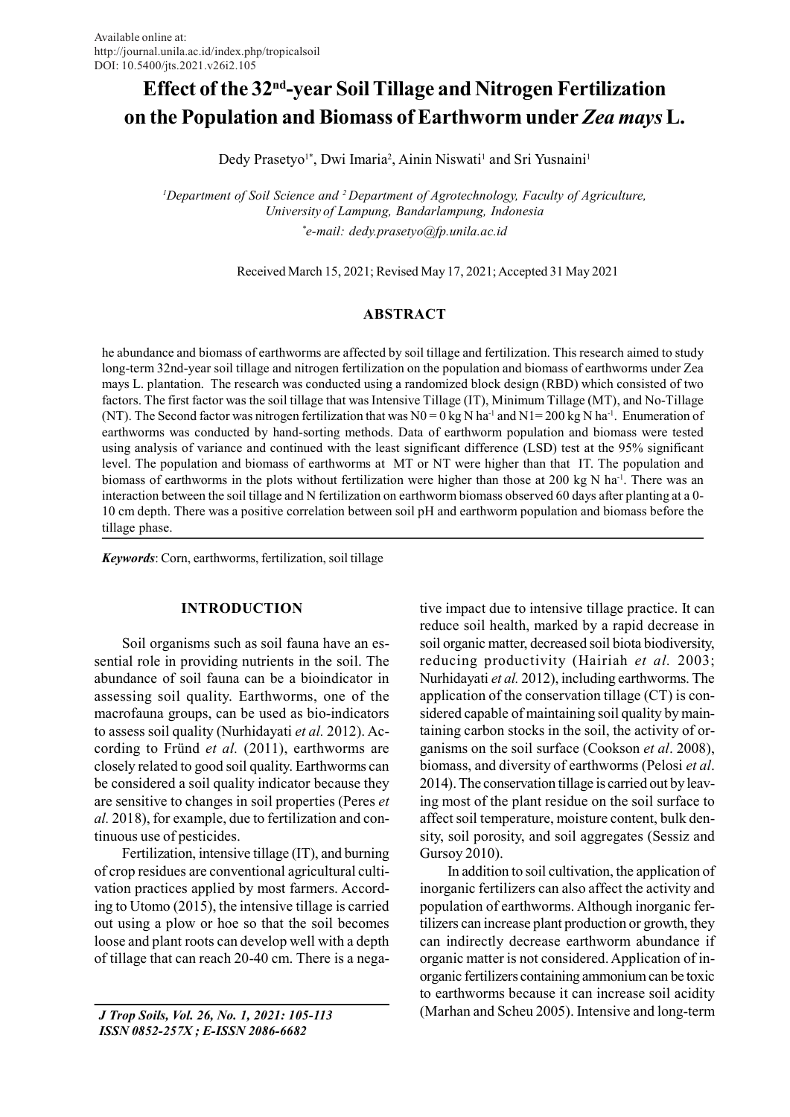# Effect of the 32nd-year Soil Tillage and Nitrogen Fertilization on the Population and Biomass of Earthworm under Zea mays L.

Dedy Prasetyo<sup>1\*</sup>, Dwi Imaria<sup>2</sup>, Ainin Niswati<sup>1</sup> and Sri Yusnaini<sup>1</sup>

<sup>1</sup>Department of Soil Science and <sup>2</sup> Department of Agrotechnology, Faculty of Agriculture, University of Lampung, Bandarlampung, Indonesia \*e-mail: dedy.prasetyo@fp.unila.ac.id

Received March 15, 2021; Revised May 17, 2021; Accepted 31 May 2021

# ABSTRACT

he abundance and biomass of earthworms are affected by soil tillage and fertilization. This research aimed to study long-term 32nd-year soil tillage and nitrogen fertilization on the population and biomass of earthworms under Zea mays L. plantation. The research was conducted using a randomized block design (RBD) which consisted of two factors. The first factor was the soil tillage that was Intensive Tillage (IT), Minimum Tillage (MT), and No-Tillage (NT). The Second factor was nitrogen fertilization that was  $N0 = 0$  kg N ha<sup>-1</sup> and N1= 200 kg N ha<sup>-1</sup>. Enumeration of earthworms was conducted by hand-sorting methods. Data of earthworm population and biomass were tested using analysis of variance and continued with the least significant difference (LSD) test at the 95% significant level. The population and biomass of earthworms at MT or NT were higher than that IT. The population and biomass of earthworms in the plots without fertilization were higher than those at 200 kg N ha<sup>-1</sup>. There was an interaction between the soil tillage and N fertilization on earthworm biomass observed 60 days after planting at a 0- 10 cm depth. There was a positive correlation between soil pH and earthworm population and biomass before the tillage phase.

Keywords: Corn, earthworms, fertilization, soil tillage

# INTRODUCTION

Soil organisms such as soil fauna have an essential role in providing nutrients in the soil. The abundance of soil fauna can be a bioindicator in assessing soil quality. Earthworms, one of the macrofauna groups, can be used as bio-indicators to assess soil quality (Nurhidayati et al. 2012). According to Fründ et al. (2011), earthworms are closely related to good soil quality. Earthworms can be considered a soil quality indicator because they are sensitive to changes in soil properties (Peres et al. 2018), for example, due to fertilization and continuous use of pesticides.

Fertilization, intensive tillage (IT), and burning of crop residues are conventional agricultural cultivation practices applied by most farmers. According to Utomo (2015), the intensive tillage is carried out using a plow or hoe so that the soil becomes loose and plant roots can develop well with a depth of tillage that can reach 20-40 cm. There is a nega-

 J Trop Soils, Vol. 26, No. 1, 2021: 105-113 ISSN 0852-257X ; E-ISSN 2086-6682

tive impact due to intensive tillage practice. It can reduce soil health, marked by a rapid decrease in soil organic matter, decreased soil biota biodiversity, reducing productivity (Hairiah et al. 2003; Nurhidayati et al. 2012), including earthworms. The application of the conservation tillage (CT) is considered capable of maintaining soil quality by maintaining carbon stocks in the soil, the activity of organisms on the soil surface (Cookson et al. 2008), biomass, and diversity of earthworms (Pelosi et al. 2014). The conservation tillage is carried out by leaving most of the plant residue on the soil surface to affect soil temperature, moisture content, bulk density, soil porosity, and soil aggregates (Sessiz and Gursoy 2010).

In addition to soil cultivation, the application of inorganic fertilizers can also affect the activity and population of earthworms. Although inorganic fertilizers can increase plant production or growth, they can indirectly decrease earthworm abundance if organic matter is not considered. Application of inorganic fertilizers containing ammonium can be toxic to earthworms because it can increase soil acidity (Marhan and Scheu 2005). Intensive and long-term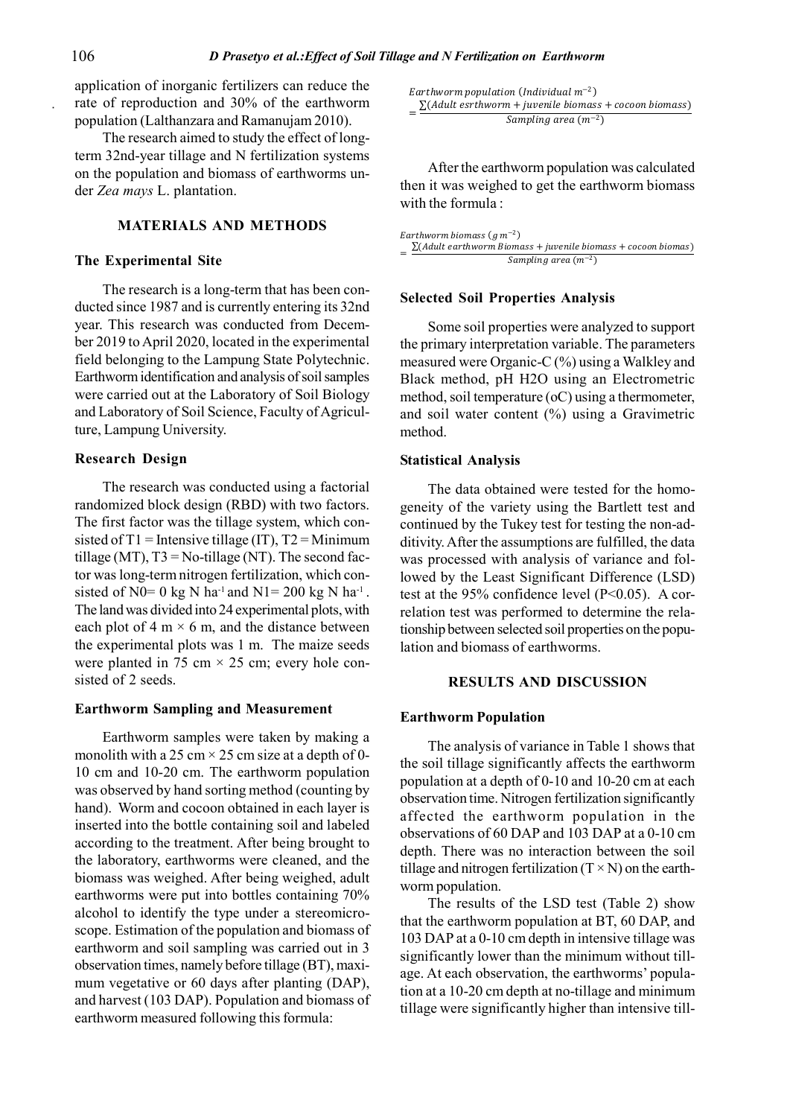application of inorganic fertilizers can reduce the rate of reproduction and 30% of the earthworm population (Lalthanzara and Ramanujam 2010).

The research aimed to study the effect of longterm 32nd-year tillage and N fertilization systems on the population and biomass of earthworms under Zea mays L. plantation.

# MATERIALS AND METHODS

#### The Experimental Site

The research is a long-term that has been conducted since 1987 and is currently entering its 32nd year. This research was conducted from December 2019 to April 2020, located in the experimental field belonging to the Lampung State Polytechnic. Earthworm identification and analysis of soil samples were carried out at the Laboratory of Soil Biology and Laboratory of Soil Science, Faculty of Agriculture, Lampung University.

# Research Design

The research was conducted using a factorial randomized block design (RBD) with two factors. The first factor was the tillage system, which consisted of  $T1$  = Intensive tillage (IT),  $T2$  = Minimum tillage (MT),  $T3 = No$ -tillage (NT). The second factor was long-term nitrogen fertilization, which consisted of N0= 0 kg N ha<sup>-1</sup> and N1= 200 kg N ha<sup>-1</sup>. The land was divided into 24 experimental plots, with each plot of 4 m  $\times$  6 m, and the distance between the experimental plots was 1 m. The maize seeds were planted in 75 cm  $\times$  25 cm; every hole consisted of 2 seeds.

### Earthworm Sampling and Measurement

Earthworm samples were taken by making a monolith with a 25 cm  $\times$  25 cm size at a depth of 0-10 cm and 10-20 cm. The earthworm population was observed by hand sorting method (counting by hand). Worm and cocoon obtained in each layer is inserted into the bottle containing soil and labeled according to the treatment. After being brought to the laboratory, earthworms were cleaned, and the biomass was weighed. After being weighed, adult earthworms were put into bottles containing 70% alcohol to identify the type under a stereomicroscope. Estimation of the population and biomass of earthworm and soil sampling was carried out in 3 observation times, namely before tillage (BT), maximum vegetative or 60 days after planting (DAP), and harvest (103 DAP). Population and biomass of earthworm measured following this formula:

 $Earthworm$  population (Individual  $m^{-2}$ ) ) and the set of  $\overline{\phantom{a}}$  $=\frac{\sum (A dult \;esthworm + juvenile \;biomass + cocoon \;biomass)}{Cumulin \;s.m.s.}$ Sampling area  $(m^{-2})$ 

After the earthworm population was calculated then it was weighed to get the earthworm biomass with the formula :

Earthworm biomass  $(g m^{-2})$ ) and the contract of  $\overline{a}$  $=\frac{\sum (A dult earthworm \, \, Biomass + juvenile \, \, biomass + cocoon \, \, biomass)}{S}$ Sampling area  $(m^{-2})$ ) and the set of  $\overline{a}$  and  $\overline{b}$  and  $\overline{a}$  and  $\overline{a}$  and  $\overline{a}$  and  $\overline{a}$  and  $\overline{a}$  and  $\overline{a}$  and  $\overline{a}$  and  $\overline{a}$  and  $\overline{a}$  and  $\overline{a}$  and  $\overline{a}$  and  $\overline{a}$  and  $\overline{a}$  and  $\overline{a}$ 

## Selected Soil Properties Analysis

Some soil properties were analyzed to support the primary interpretation variable. The parameters measured were Organic-C (%) using a Walkley and Black method, pH H2O using an Electrometric method, soil temperature (oC) using a thermometer, and soil water content (%) using a Gravimetric method.

#### Statistical Analysis

The data obtained were tested for the homogeneity of the variety using the Bartlett test and continued by the Tukey test for testing the non-additivity. After the assumptions are fulfilled, the data was processed with analysis of variance and followed by the Least Significant Difference (LSD) test at the  $95\%$  confidence level (P<0.05). A correlation test was performed to determine the relationship between selected soil properties on the population and biomass of earthworms.

#### RESULTS AND DISCUSSION

# Earthworm Population

The analysis of variance in Table 1 shows that the soil tillage significantly affects the earthworm population at a depth of 0-10 and 10-20 cm at each observation time. Nitrogen fertilization significantly affected the earthworm population in the observations of 60 DAP and 103 DAP at a 0-10 cm depth. There was no interaction between the soil tillage and nitrogen fertilization  $(T \times N)$  on the earthworm population.

The results of the LSD test (Table 2) show that the earthworm population at BT, 60 DAP, and 103 DAP at a 0-10 cm depth in intensive tillage was significantly lower than the minimum without tillage. At each observation, the earthworms' population at a 10-20 cm depth at no-tillage and minimum tillage were significantly higher than intensive till-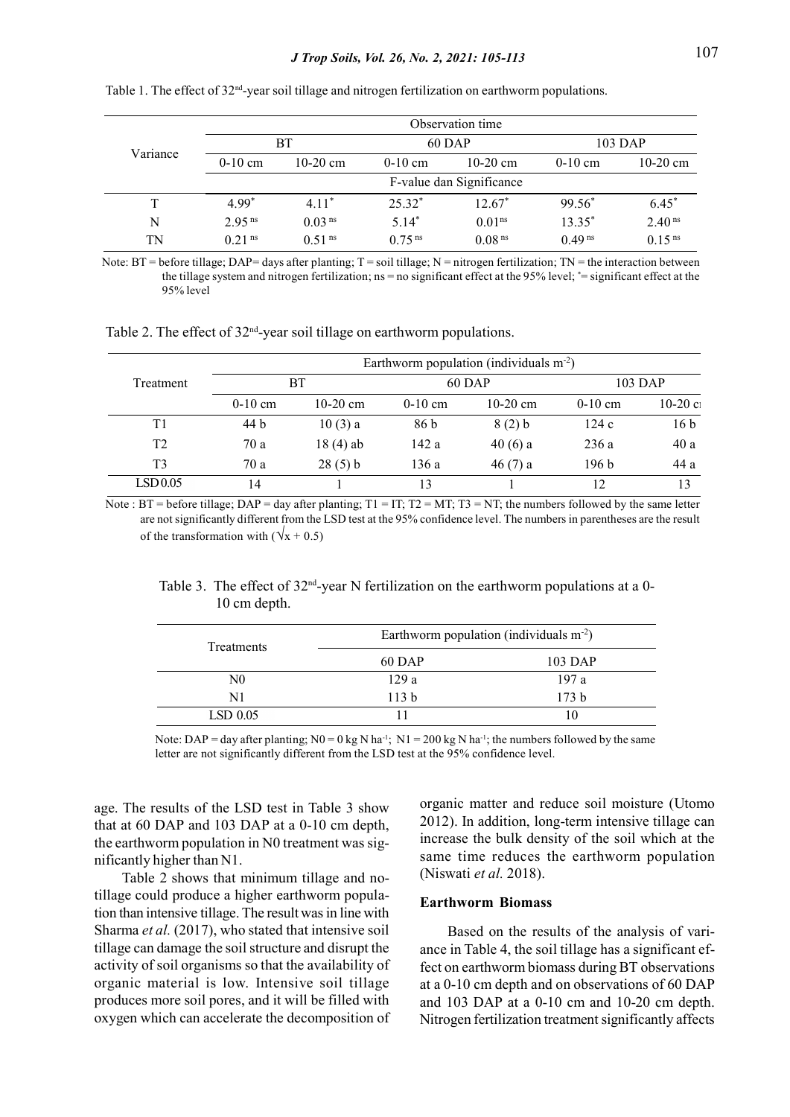|          |                      |                      |                      | Observation time         |                      |                      |
|----------|----------------------|----------------------|----------------------|--------------------------|----------------------|----------------------|
| Variance |                      | BT                   |                      | $60$ DAP                 |                      | $103$ DAP            |
|          | $0-10$ cm            | $10-20$ cm           | $0-10$ cm            | 10-20 cm                 | $0-10$ cm            | $10-20$ cm           |
|          |                      |                      |                      | F-value dan Significance |                      |                      |
| T        | $4.99*$              | $4.11*$              | $25.32*$             | $12.67*$                 | $99.56*$             | $6.45*$              |
| N        | $2.95$ <sup>ns</sup> | 0.03 <sup>ns</sup>   | $5.14*$              | 0.01 <sup>ns</sup>       | 13.35*               | 2.40 <sup>ns</sup>   |
| TN       | $0.21$ <sup>ns</sup> | $0.51$ <sup>ns</sup> | $0.75$ <sup>ns</sup> | 0.08 <sup>ns</sup>       | $0.49$ <sup>ns</sup> | $0.15$ <sup>ns</sup> |

Table 1. The effect of 32<sup>nd</sup>-year soil tillage and nitrogen fertilization on earthworm populations.

Note:  $BT =$  before tillage; DAP= days after planting;  $T =$  soil tillage;  $N =$  nitrogen fertilization;  $TN =$  the interaction between the tillage system and nitrogen fertilization; ns = no significant effect at the 95% level; \*= significant effect at the 95% level

Table 2. The effect of  $32<sup>nd</sup>$ -year soil tillage on earthworm populations.

|                |           |            |           | Earthworm population (individuals $m-2$ ) |                  |                 |
|----------------|-----------|------------|-----------|-------------------------------------------|------------------|-----------------|
| Treatment      | BТ        |            | $60$ DAP  |                                           | $103$ DAP        |                 |
|                | $0-10$ cm | $10-20$ cm | $0-10$ cm | $10-20$ cm                                | $0-10$ cm        | $10-20c1$       |
| Τ1             | 44 b      | 10(3) a    | 86 b      | 8(2) b                                    | 124c             | 16 <sub>b</sub> |
| T2             | 70 a      | $18(4)$ ab | 142 a     | 40(6) a                                   | 236 a            | 40a             |
| T <sub>3</sub> | 70 a      | 28(5) b    | 136 a     | 46(7) a                                   | 196 <sub>b</sub> | 44 a            |
| LSD 0.05       | 14        |            | 13        |                                           |                  | 13              |

Note :  $BT = before$  tillage;  $DAP = day$  after planting;  $T1 = IT$ ;  $T2 = MT$ ;  $T3 = NT$ ; the numbers followed by the same letter are not significantly different from the LSD test at the 95% confidence level. The numbers in parentheses are the result of the transformation with  $(\sqrt{x} + 0.5)$ 

Table 3. The effect of  $32<sup>nd</sup>$ -year N fertilization on the earthworm populations at a 0-10 cm depth.

| Treatments | Earthworm population (individuals $m2$ ) |                  |  |
|------------|------------------------------------------|------------------|--|
|            | 60 DAP                                   | 103 DAP          |  |
| N0         | 129a                                     | 197a             |  |
| N1         | 113 <sub>b</sub>                         | 173 <sub>b</sub> |  |
| $LSD$ 0.05 |                                          |                  |  |

Note: DAP = day after planting;  $N0 = 0$  kg N ha<sup>-1</sup>;  $N1 = 200$  kg N ha<sup>-1</sup>; the numbers followed by the same letter are not significantly different from the LSD test at the 95% confidence level.

age. The results of the LSD test in Table 3 show that at 60 DAP and 103 DAP at a 0-10 cm depth, the earthworm population in N0 treatment was significantly higher than N1.

Table 2 shows that minimum tillage and notillage could produce a higher earthworm population than intensive tillage. The result was in line with Sharma et al. (2017), who stated that intensive soil tillage can damage the soil structure and disrupt the activity of soil organisms so that the availability of organic material is low. Intensive soil tillage produces more soil pores, and it will be filled with oxygen which can accelerate the decomposition of organic matter and reduce soil moisture (Utomo 2012). In addition, long-term intensive tillage can increase the bulk density of the soil which at the same time reduces the earthworm population (Niswati et al. 2018).

## Earthworm Biomass

Based on the results of the analysis of variance in Table 4, the soil tillage has a significant effect on earthworm biomass during BT observations at a 0-10 cm depth and on observations of 60 DAP and 103 DAP at a 0-10 cm and 10-20 cm depth. Nitrogen fertilization treatment significantly affects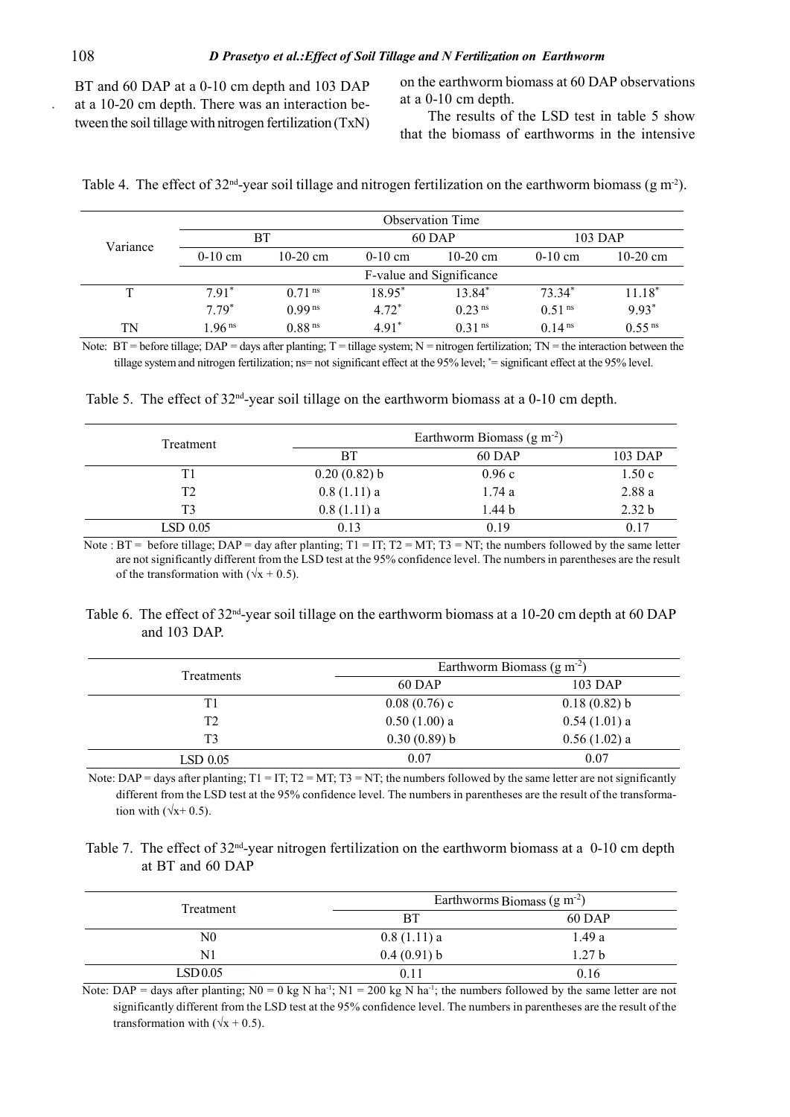BT and 60 DAP at a 0-10 cm depth and 103 DAP at a 10-20 cm depth. There was an interaction between the soil tillage with nitrogen fertilization (TxN) on the earthworm biomass at 60 DAP observations at a 0-10 cm depth.

The results of the LSD test in table 5 show that the biomass of earthworms in the intensive

|  |  | Table 4. The effect of $32^{\text{nd}}$ -year soil tillage and nitrogen fertilization on the earthworm biomass (g m <sup>2</sup> ). |  |  |  |  |  |  |
|--|--|-------------------------------------------------------------------------------------------------------------------------------------|--|--|--|--|--|--|
|--|--|-------------------------------------------------------------------------------------------------------------------------------------|--|--|--|--|--|--|

|              |                    |                      |           | Observation Time         |                    |                      |
|--------------|--------------------|----------------------|-----------|--------------------------|--------------------|----------------------|
| Variance     | <b>BT</b>          |                      | $60$ DAP  |                          | $103$ DAP          |                      |
|              | $0-10$ cm          | $10-20$ cm           | $0-10$ cm | $10-20$ cm               | $0-10$ cm          | $10-20$ cm           |
|              |                    |                      |           | F-value and Significance |                    |                      |
| $\mathbf{T}$ | $7.91*$            | $0.71$ <sup>ns</sup> | 18.95*    | 13.84*                   | $73.34*$           | $11.18*$             |
|              | $7.79*$            | 0.99 <sup>ns</sup>   | $4.72*$   | 0.23 <sup>ns</sup>       | 0.51 <sup>ns</sup> | $9.93*$              |
| <b>TN</b>    | 1.96 <sup>ns</sup> | $0.88$ <sup>ns</sup> | $4.91*$   | 0.31 <sup>ns</sup>       | 0.14 <sup>ns</sup> | $0.55$ <sup>ns</sup> |

Note:  $BT =$  before tillage;  $DAP =$  days after planting;  $T =$  tillage system;  $N =$  nitrogen fertilization;  $TN =$  the interaction between the tillage system and nitrogen fertilization; ns= not significant effect at the 95% level; \*= significant effect at the 95% level.

|  |  | Table 5. The effect of $32^{nd}$ -year soil tillage on the earthworm biomass at a 0-10 cm depth. |  |  |
|--|--|--------------------------------------------------------------------------------------------------|--|--|
|  |  |                                                                                                  |  |  |

| Treatment  |                | Earthworm Biomass $(g m-2)$ |                   |
|------------|----------------|-----------------------------|-------------------|
|            | BT             | 60 DAP                      | 103 DAP           |
| T1         | $0.20(0.82)$ b | 0.96c                       | 1.50c             |
| T2         | $0.8(1.11)$ a  | 1.74a                       | 2.88a             |
| T3         | $0.8(1.11)$ a  | 1.44 b                      | 2.32 <sub>b</sub> |
| $LSD$ 0.05 | 0.13           | 0.19                        | 0.17              |

Note :  $BT =$  before tillage;  $DAP =$  day after planting;  $T1 = IT$ ;  $T2 = MT$ ;  $T3 = NT$ ; the numbers followed by the same letter are not significantly different from the LSD test at the 95% confidence level. The numbers in parentheses are the result of the transformation with  $(\sqrt{x} + 0.5)$ .

Table 6. The effect of  $32<sup>nd</sup>$ -year soil tillage on the earthworm biomass at a 10-20 cm depth at 60 DAP and 103 DAP.

|            | Earthworm Biomass $(g m-2)$ |                |  |
|------------|-----------------------------|----------------|--|
| Treatments | 60 DAP                      | 103 DAP        |  |
| T1         | $0.08(0.76)$ c              | $0.18(0.82)$ b |  |
| T2         | $0.50(1.00)$ a              | $0.54(1.01)$ a |  |
| T3         | $0.30(0.89)$ b              | $0.56(1.02)$ a |  |
| $LSD$ 0.05 | 0.07                        | 0.07           |  |

Note: DAP = days after planting;  $T1 = IT$ ;  $T2 = MT$ ;  $T3 = NT$ ; the numbers followed by the same letter are not significantly different from the LSD test at the 95% confidence level. The numbers in parentheses are the result of the transformation with  $(\sqrt{x}+0.5)$ .

Table 7. The effect of 32<sup>nd</sup>-year nitrogen fertilization on the earthworm biomass at a 0-10 cm depth at BT and 60 DAP

| Treatment      | Earthworms Biomass $(g m-2)$ |                   |  |
|----------------|------------------------------|-------------------|--|
|                | <b>BT</b>                    | 60 DAP            |  |
| N <sub>0</sub> | $0.8(1.11)$ a                | 1.49a             |  |
| N1             | 0.4(0.91) b                  | 1.27 <sub>b</sub> |  |
| LSD 0.05       | 0.11                         | 0.16              |  |

Note: DAP = days after planting; N0 = 0 kg N ha<sup>-1</sup>; N1 = 200 kg N ha<sup>-1</sup>; the numbers followed by the same letter are not significantly different from the LSD test at the 95% confidence level. The numbers in parentheses are the result of the transformation with  $(\sqrt{x} + 0.5)$ .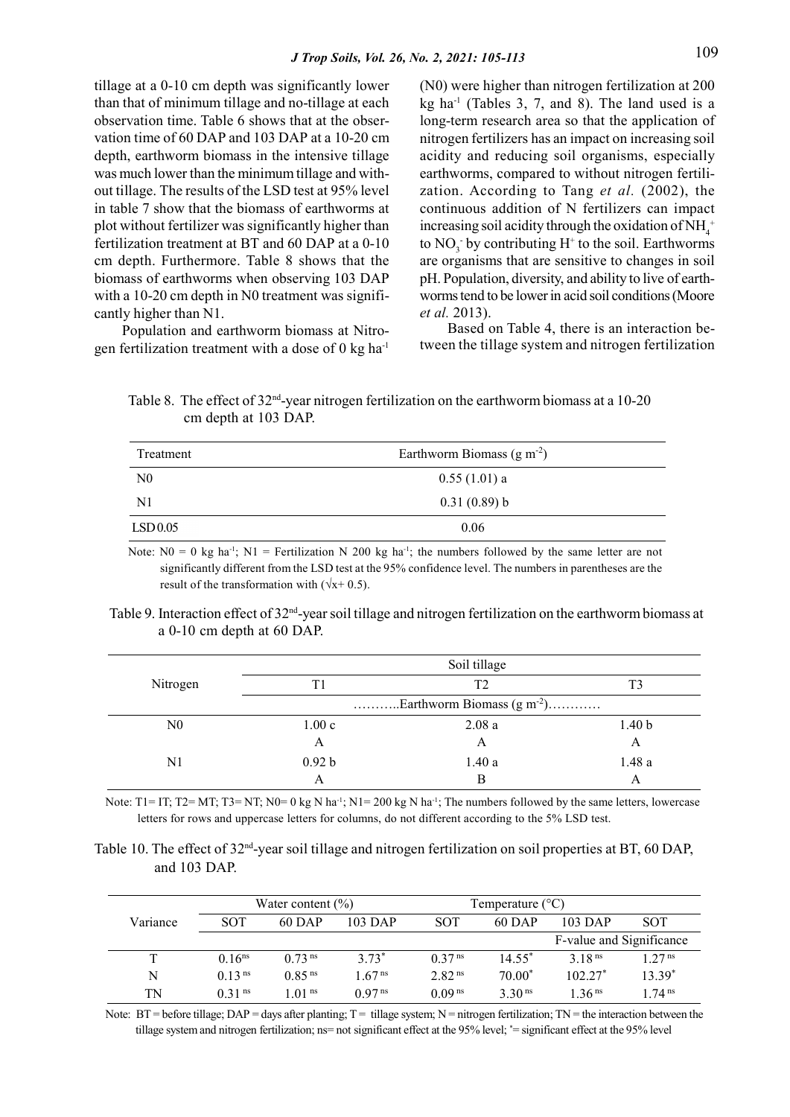tillage at a 0-10 cm depth was significantly lower than that of minimum tillage and no-tillage at each observation time. Table 6 shows that at the observation time of 60 DAP and 103 DAP at a 10-20 cm depth, earthworm biomass in the intensive tillage was much lower than the minimum tillage and without tillage. The results of the LSD test at 95% level in table 7 show that the biomass of earthworms at plot without fertilizer was significantly higher than fertilization treatment at BT and 60 DAP at a 0-10 cm depth. Furthermore. Table 8 shows that the biomass of earthworms when observing 103 DAP with a 10-20 cm depth in N0 treatment was significantly higher than N1.

Population and earthworm biomass at Nitrogen fertilization treatment with a dose of  $0 \text{ kg ha}^{-1}$  (N0) were higher than nitrogen fertilization at 200 kg ha<sup>-1</sup> (Tables 3, 7, and 8). The land used is a long-term research area so that the application of nitrogen fertilizers has an impact on increasing soil acidity and reducing soil organisms, especially earthworms, compared to without nitrogen fertilization. According to Tang et al. (2002), the continuous addition of N fertilizers can impact increasing soil acidity through the oxidation of  $NH_4^+$ to  $NO_3^-$  by contributing  $H^+$  to the soil. Earthworms are organisms that are sensitive to changes in soil pH. Population, diversity, and ability to live of earthworms tend to be lower in acid soil conditions (Moore et al. 2013).

Based on Table 4, there is an interaction between the tillage system and nitrogen fertilization

Table 8. The effect of  $32<sup>nd</sup>$ -year nitrogen fertilization on the earthworm biomass at a 10-20 cm depth at 103 DAP.

| Treatment      | Earthworm Biomass $(g m-2)$ |  |
|----------------|-----------------------------|--|
| N <sub>0</sub> | $0.55(1.01)$ a              |  |
| $\mathbf{N}$   | 0.31(0.89) b                |  |
| LSD 0.05       | 0.06                        |  |

Note:  $N0 = 0$  kg ha<sup>-1</sup>;  $N1 =$  Fertilization N 200 kg ha<sup>-1</sup>; the numbers followed by the same letter are not significantly different from the LSD test at the 95% confidence level. The numbers in parentheses are the result of the transformation with  $(\sqrt{x+ 0.5})$ .

| Table 9. Interaction effect of $32^{\text{nd}}$ -year soil tillage and nitrogen fertilization on the earthworm biomass at |  |  |
|---------------------------------------------------------------------------------------------------------------------------|--|--|
| a $0-10$ cm depth at 60 DAP.                                                                                              |  |  |

|          |                                | Soil tillage |                   |  |  |
|----------|--------------------------------|--------------|-------------------|--|--|
| Nitrogen | Τ1                             | T2           | T3                |  |  |
|          | Earthworm Biomass $(g m^{-2})$ |              |                   |  |  |
| N0       | 1.00c                          | 2.08a        | 1.40 <sub>b</sub> |  |  |
|          | А                              | А            | A                 |  |  |
| N1       | 0.92 <sub>b</sub>              | 1.40a        | 1.48a             |  |  |
|          | А                              | В            | А                 |  |  |

Note:  $T1 = IT$ ;  $T2 = MT$ ;  $T3 = NT$ ;  $N0 = 0$  kg N ha<sup>-1</sup>;  $N1 = 200$  kg N ha<sup>-1</sup>; The numbers followed by the same letters, lowercase letters for rows and uppercase letters for columns, do not different according to the 5% LSD test.

Table 10. The effect of 32<sup>nd</sup>-year soil tillage and nitrogen fertilization on soil properties at BT, 60 DAP, and 103 DAP.

|          | Water content $(\% )$ |                      |                      | Temperature $(^{\circ}C)$ |                  |                          |                    |  |
|----------|-----------------------|----------------------|----------------------|---------------------------|------------------|--------------------------|--------------------|--|
| Variance | <b>SOT</b>            | $60$ DAP             | 103 DAP              | <b>SOT</b>                | $60$ DAP         | $103$ DAP                | <b>SOT</b>         |  |
|          |                       |                      |                      |                           |                  | F-value and Significance |                    |  |
|          | $0.16^{ns}$           | $0.73$ <sup>ns</sup> | $3.73^*$             | 0.37 <sup>ns</sup>        | $14.55^*$        | 3.18 <sup>ns</sup>       | 1.27 <sup>ns</sup> |  |
| N        | 0.13 <sup>ns</sup>    | 0.85 <sup>ns</sup>   | 1.67 <sup>ns</sup>   | 2.82 <sup>ns</sup>        | $70.00*$         | $102.27^*$               | $13.39*$           |  |
| TN       | $0.31$ <sup>ns</sup>  | 1.01 <sup>ns</sup>   | $0.97$ <sup>ns</sup> | 0.09 <sup>ns</sup>        | 3.30 $\text{ns}$ | 1.36 <sup>ns</sup>       | 1 74 $\text{ns}$   |  |

Note:  $BT =$  before tillage;  $DAP =$  days after planting;  $T =$  tillage system;  $N =$  nitrogen fertilization;  $TN =$  the interaction between the tillage system and nitrogen fertilization; ns= not significant effect at the 95% level; \*= significant effect at the 95% level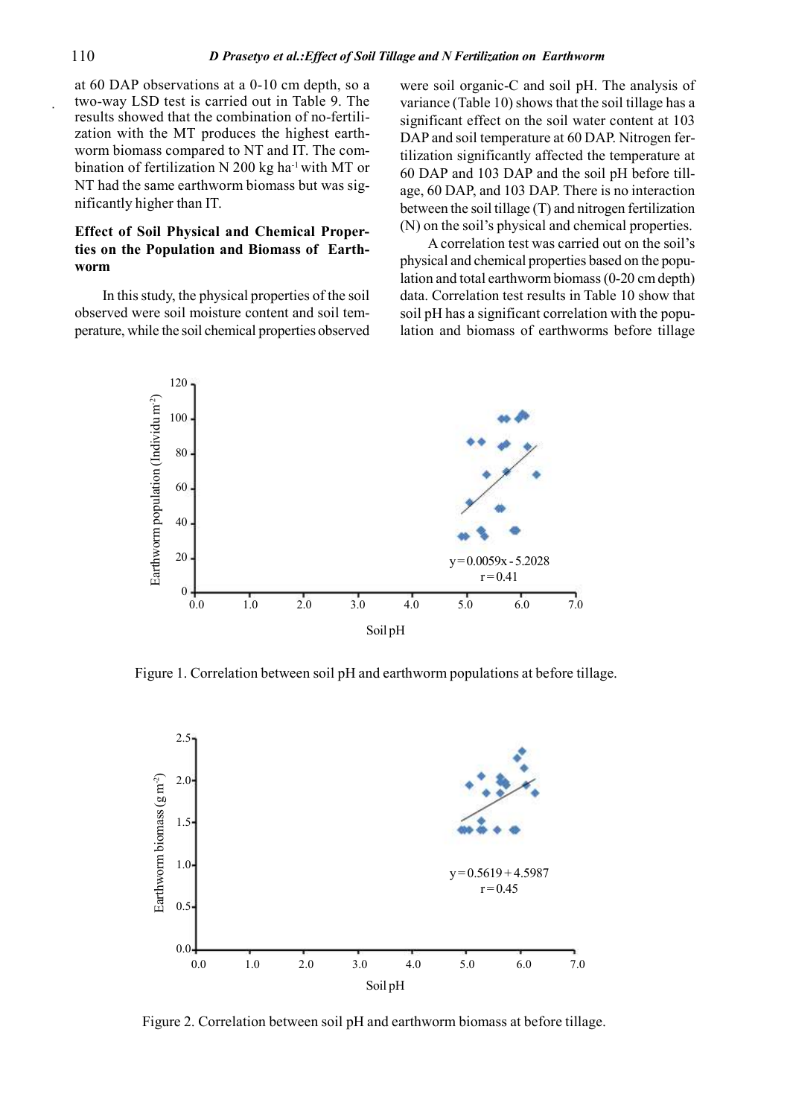at 60 DAP observations at a 0-10 cm depth, so a two-way LSD test is carried out in Table 9. The results showed that the combination of no-fertilization with the MT produces the highest earthworm biomass compared to NT and IT. The combination of fertilization N 200 kg ha<sup>-1</sup> with MT or NT had the same earthworm biomass but was significantly higher than IT.

# Effect of Soil Physical and Chemical Properties on the Population and Biomass of Earthworm

In this study, the physical properties of the soil observed were soil moisture content and soil temperature, while the soil chemical properties observed

were soil organic-C and soil pH. The analysis of variance (Table 10) shows that the soil tillage has a significant effect on the soil water content at 103 DAP and soil temperature at 60 DAP. Nitrogen fertilization significantly affected the temperature at 60 DAP and 103 DAP and the soil pH before tillage, 60 DAP, and 103 DAP. There is no interaction between the soil tillage (T) and nitrogen fertilization (N) on the soil's physical and chemical properties.

A correlation test was carried out on the soil's physical and chemical properties based on the population and total earthworm biomass (0-20 cm depth) data. Correlation test results in Table 10 show that soil pH has a significant correlation with the population and biomass of earthworms before tillage



Figure 1. Correlation between soil pH and earthworm populations at before tillage.



Figure 2. Correlation between soil pH and earthworm biomass at before tillage.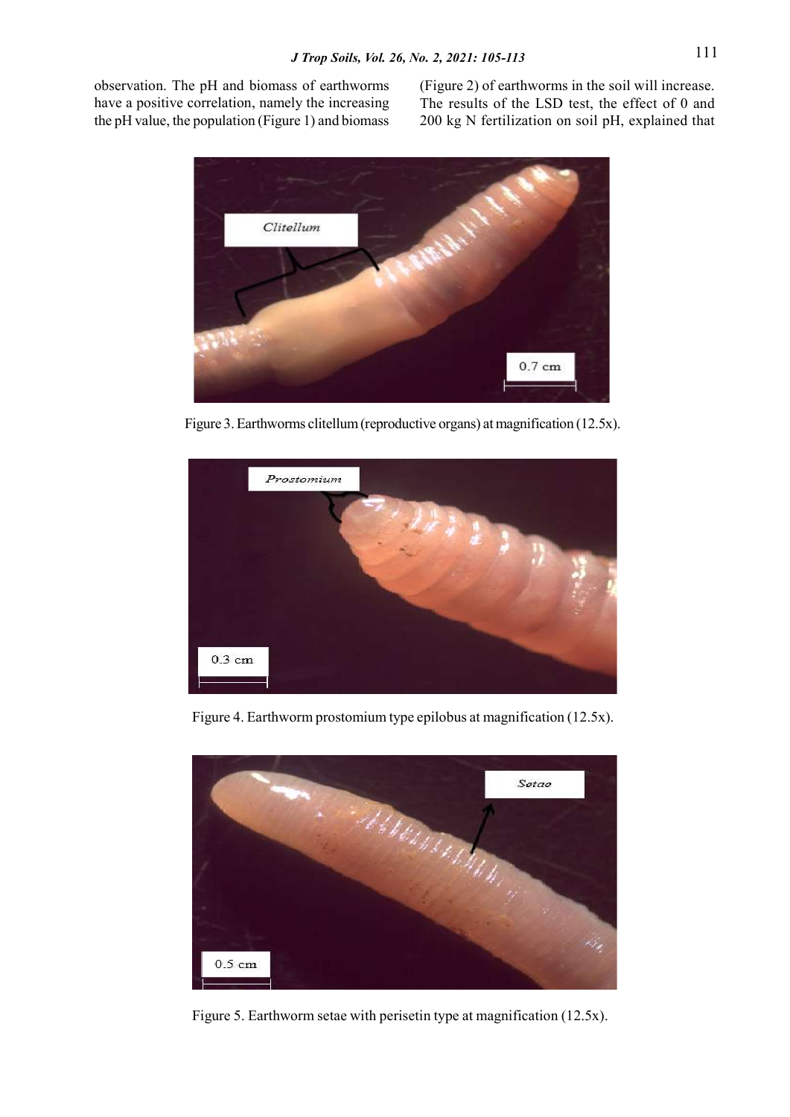observation. The pH and biomass of earthworms have a positive correlation, namely the increasing the pH value, the population (Figure 1) and biomass

(Figure 2) of earthworms in the soil will increase. The results of the LSD test, the effect of 0 and 200 kg N fertilization on soil pH, explained that



Figure 3. Earthworms clitellum (reproductive organs) at magnification (12.5x).



Figure 4. Earthworm prostomium type epilobus at magnification (12.5x).



Figure 5. Earthworm setae with perisetin type at magnification (12.5x).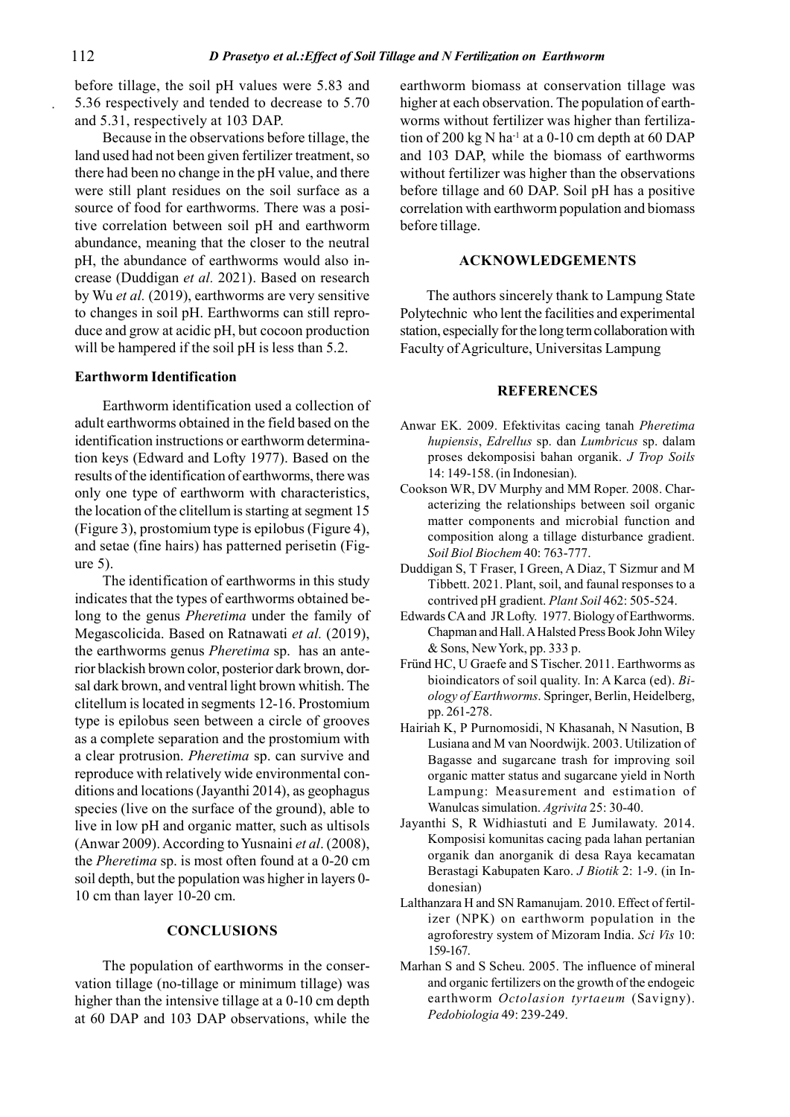before tillage, the soil pH values were 5.83 and 5.36 respectively and tended to decrease to 5.70 and 5.31, respectively at 103 DAP.

Because in the observations before tillage, the land used had not been given fertilizer treatment, so there had been no change in the pH value, and there were still plant residues on the soil surface as a source of food for earthworms. There was a positive correlation between soil pH and earthworm abundance, meaning that the closer to the neutral pH, the abundance of earthworms would also increase (Duddigan et al. 2021). Based on research by Wu et al. (2019), earthworms are very sensitive to changes in soil pH. Earthworms can still reproduce and grow at acidic pH, but cocoon production will be hampered if the soil pH is less than 5.2.

# Earthworm Identification

Earthworm identification used a collection of adult earthworms obtained in the field based on the identification instructions or earthworm determination keys (Edward and Lofty 1977). Based on the results of the identification of earthworms, there was only one type of earthworm with characteristics, the location of the clitellum is starting at segment 15 (Figure 3), prostomium type is epilobus (Figure 4), and setae (fine hairs) has patterned perisetin (Figure 5).

The identification of earthworms in this study indicates that the types of earthworms obtained belong to the genus Pheretima under the family of Megascolicida. Based on Ratnawati et al. (2019), the earthworms genus Pheretima sp. has an anterior blackish brown color, posterior dark brown, dorsal dark brown, and ventral light brown whitish. The clitellum is located in segments 12-16. Prostomium type is epilobus seen between a circle of grooves as a complete separation and the prostomium with a clear protrusion. Pheretima sp. can survive and reproduce with relatively wide environmental conditions and locations (Jayanthi 2014), as geophagus species (live on the surface of the ground), able to live in low pH and organic matter, such as ultisols (Anwar 2009). According to Yusnaini et al. (2008), the Pheretima sp. is most often found at a 0-20 cm soil depth, but the population was higher in layers 0- 10 cm than layer 10-20 cm.

## **CONCLUSIONS**

The population of earthworms in the conservation tillage (no-tillage or minimum tillage) was higher than the intensive tillage at a 0-10 cm depth at 60 DAP and 103 DAP observations, while the earthworm biomass at conservation tillage was higher at each observation. The population of earthworms without fertilizer was higher than fertilization of 200 kg N ha<sup>-1</sup> at a 0-10 cm depth at 60 DAP and 103 DAP, while the biomass of earthworms without fertilizer was higher than the observations before tillage and 60 DAP. Soil pH has a positive correlation with earthworm population and biomass before tillage.

## ACKNOWLEDGEMENTS

The authors sincerely thank to Lampung State Polytechnic who lent the facilities and experimental station, especially for the long term collaboration with Faculty of Agriculture, Universitas Lampung

#### **REFERENCES**

- Anwar EK. 2009. Efektivitas cacing tanah Pheretima hupiensis, Edrellus sp. dan Lumbricus sp. dalam proses dekomposisi bahan organik. J Trop Soils 14: 149-158. (in Indonesian).
- Cookson WR, DV Murphy and MM Roper. 2008. Characterizing the relationships between soil organic matter components and microbial function and composition along a tillage disturbance gradient. Soil Biol Biochem 40: 763-777.
- Duddigan S, T Fraser, I Green, A Diaz, T Sizmur and M Tibbett. 2021. Plant, soil, and faunal responses to a contrived pH gradient. Plant Soil 462: 505-524.
- Edwards CA and JR Lofty. 1977. Biology of Earthworms. Chapman and Hall. A Halsted Press Book John Wiley & Sons, New York, pp. 333 p.
- Fründ HC, U Graefe and S Tischer. 2011. Earthworms as bioindicators of soil quality. In: A Karca (ed). Biology of Earthworms. Springer, Berlin, Heidelberg, pp. 261-278.
- Hairiah K, P Purnomosidi, N Khasanah, N Nasution, B Lusiana and M van Noordwijk. 2003. Utilization of Bagasse and sugarcane trash for improving soil organic matter status and sugarcane yield in North Lampung: Measurement and estimation of Wanulcas simulation. Agrivita 25: 30-40.
- Jayanthi S, R Widhiastuti and E Jumilawaty. 2014. Komposisi komunitas cacing pada lahan pertanian organik dan anorganik di desa Raya kecamatan Berastagi Kabupaten Karo. J Biotik 2: 1-9. (in Indonesian)
- Lalthanzara H and SN Ramanujam. 2010. Effect of fertilizer (NPK) on earthworm population in the agroforestry system of Mizoram India. Sci Vis 10: 159-167.
- Marhan S and S Scheu. 2005. The influence of mineral and organic fertilizers on the growth of the endogeic earthworm Octolasion tyrtaeum (Savigny). Pedobiologia 49: 239-249.